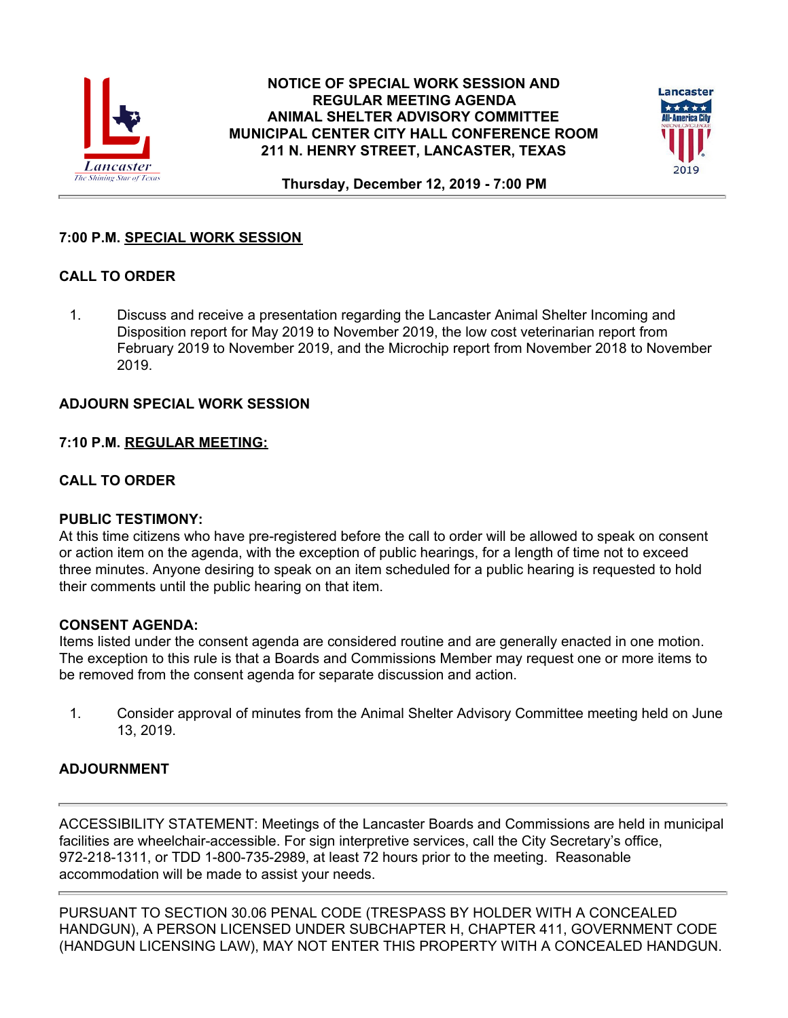

#### **NOTICE OF SPECIAL WORK SESSION AND REGULAR MEETING AGENDA ANIMAL SHELTER ADVISORY COMMITTEE MUNICIPAL CENTER CITY HALL CONFERENCE ROOM 211 N. HENRY STREET, LANCASTER, TEXAS**



**Thursday, December 12, 2019 - 7:00 PM**

# **7:00 P.M. SPECIAL WORK SESSION**

# **CALL TO ORDER**

1. Discuss and receive a presentation regarding the Lancaster Animal Shelter Incoming and Disposition report for May 2019 to November 2019, the low cost veterinarian report from February 2019 to November 2019, and the Microchip report from November 2018 to November 2019.

## **ADJOURN SPECIAL WORK SESSION**

## **7:10 P.M. REGULAR MEETING:**

## **CALL TO ORDER**

#### **PUBLIC TESTIMONY:**

At this time citizens who have pre-registered before the call to order will be allowed to speak on consent or action item on the agenda, with the exception of public hearings, for a length of time not to exceed three minutes. Anyone desiring to speak on an item scheduled for a public hearing is requested to hold their comments until the public hearing on that item.

#### **CONSENT AGENDA:**

Items listed under the consent agenda are considered routine and are generally enacted in one motion. The exception to this rule is that a Boards and Commissions Member may request one or more items to be removed from the consent agenda for separate discussion and action.

1. Consider approval of minutes from the Animal Shelter Advisory Committee meeting held on June 13, 2019.

# **ADJOURNMENT**

ACCESSIBILITY STATEMENT: Meetings of the Lancaster Boards and Commissions are held in municipal facilities are wheelchair-accessible. For sign interpretive services, call the City Secretary's office, 972-218-1311, or TDD 1-800-735-2989, at least 72 hours prior to the meeting. Reasonable accommodation will be made to assist your needs.

PURSUANT TO SECTION 30.06 PENAL CODE (TRESPASS BY HOLDER WITH A CONCEALED HANDGUN), A PERSON LICENSED UNDER SUBCHAPTER H, CHAPTER 411, GOVERNMENT CODE (HANDGUN LICENSING LAW), MAY NOT ENTER THIS PROPERTY WITH A CONCEALED HANDGUN.